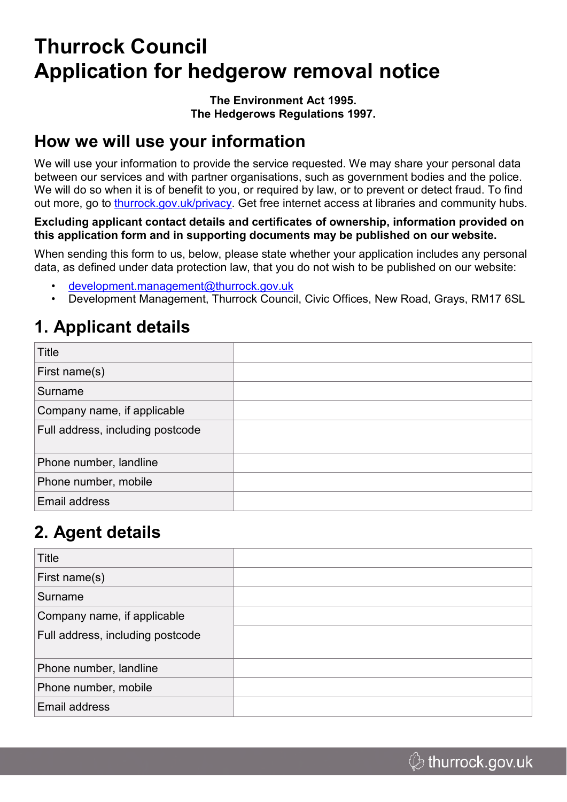# **Thurrock Council Application for hedgerow removal notice**

#### **The Environment Act 1995. The Hedgerows Regulations 1997.**

#### **How we will use your information**

We will use your information to provide the service requested. We may share your personal data between our services and with partner organisations, such as government bodies and the police. We will do so when it is of benefit to you, or required by law, or to prevent or detect fraud. To find out more, go to [thurrock.gov.uk/privacy](https://www.thurrock.gov.uk/privacy). Get free internet access at libraries and community hubs.

**Excluding applicant contact details and certificates of ownership, information provided on this application form and in supporting documents may be published on our website.** 

When sending this form to us, below, please state whether your application includes any personal data, as defined under data protection law, that you do not wish to be published on our website:

- [development.management@thurrock.gov.uk](mailto:development.management@thurrock.gov.uk)
- Development Management, Thurrock Council, Civic Offices, New Road, Grays, RM17 6SL

#### **1. Applicant details**

| Title                            |  |
|----------------------------------|--|
| First name(s)                    |  |
| Surname                          |  |
| Company name, if applicable      |  |
| Full address, including postcode |  |
| Phone number, landline           |  |
| Phone number, mobile             |  |
| Email address                    |  |

#### **2. Agent details**

| Title                            |  |
|----------------------------------|--|
| First name(s)                    |  |
| Surname                          |  |
| Company name, if applicable      |  |
| Full address, including postcode |  |
| Phone number, landline           |  |
| Phone number, mobile             |  |
| Email address                    |  |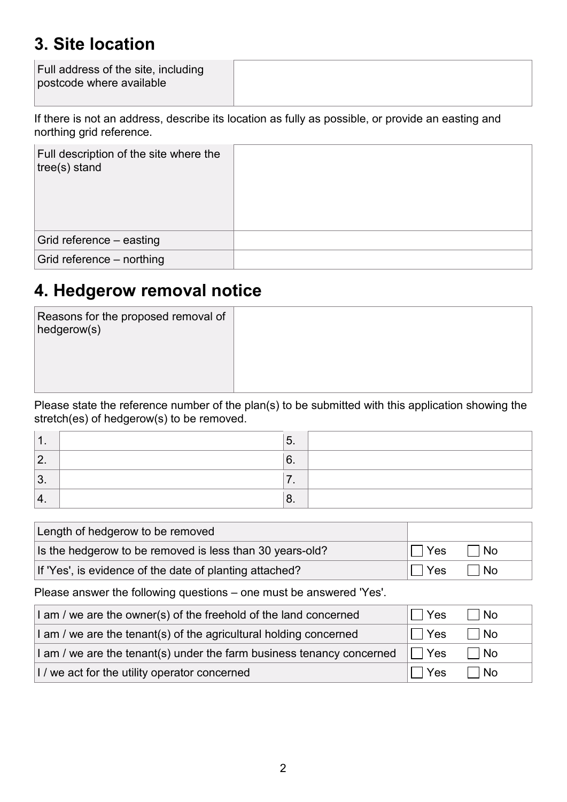#### **3. Site location**

| Full address of the site, including<br>postcode where available |  |
|-----------------------------------------------------------------|--|
|                                                                 |  |

If there is not an address, describe its location as fully as possible, or provide an easting and northing grid reference.

| Full description of the site where the<br>$ tree(s)$ stand |  |
|------------------------------------------------------------|--|
| Grid reference - easting                                   |  |
| Grid reference – northing                                  |  |

#### **4. Hedgerow removal notice**

| Reasons for the proposed removal of<br>hedgerow(s) |  |
|----------------------------------------------------|--|
|                                                    |  |

Please state the reference number of the plan(s) to be submitted with this application showing the stretch(es) of hedgerow(s) to be removed.

| . .      | J.      |  |
|----------|---------|--|
| <u>.</u> | ⌒<br>v. |  |
| ◠<br>ν.  | . .     |  |
| ᠇.       | U.      |  |

| Length of hedgerow to be removed                         |         |      |
|----------------------------------------------------------|---------|------|
| Is the hedgerow to be removed is less than 30 years-old? | I⊟ Yes  | l No |
| If 'Yes', is evidence of the date of planting attached?  | II IYes | ⊺No  |

Please answer the following questions – one must be answered 'Yes'.

| I am / we are the owner(s) of the freehold of the land concerned      | <b>Yes</b> | <b>No</b> |
|-----------------------------------------------------------------------|------------|-----------|
| I am / we are the tenant(s) of the agricultural holding concerned     | <b>Yes</b> | l No      |
| I am / we are the tenant(s) under the farm business tenancy concerned | ∣ ∣Yes     | l No      |
| I / we act for the utility operator concerned                         | Yes        | No        |